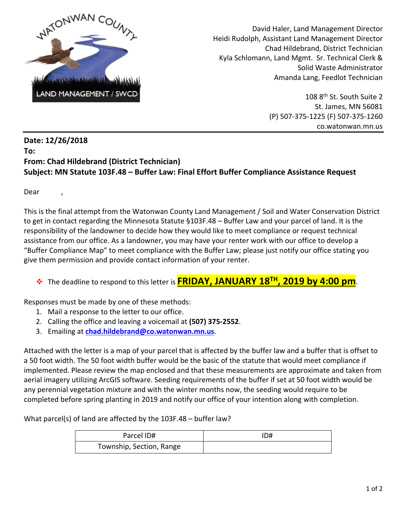

 David Haler, Land Management Director Heidi Rudolph, Assistant Land Management Director Chad Hildebrand, District Technician Kyla Schlomann, Land Mgmt. Sr. Technical Clerk & Solid Waste Administrator Amanda Lang, Feedlot Technician

> 108 8<sup>th</sup> St. South Suite 2 St. James, MN 56081 (P) 507-375-1225 (F) 507-375-1260 co.watonwan.mn.us

## **Date: 12/26/2018 To: From: Chad Hildebrand (District Technician) Subject: MN Statute 103F.48 – Buffer Law: Final Effort Buffer Compliance Assistance Request**

Dear ,

This is the final attempt from the Watonwan County Land Management / Soil and Water Conservation District to get in contact regarding the Minnesota Statute §103F.48 – Buffer Law and your parcel of land. It is the responsibility of the landowner to decide how they would like to meet compliance or request technical assistance from our office. As a landowner, you may have your renter work with our office to develop a "Buffer Compliance Map" to meet compliance with the Buffer Law; please just notify our office stating you give them permission and provide contact information of your renter.

## The deadline to respond to this letter is **FRIDAY, JANUARY 18TH, 2019 by 4:00 pm**.

Responses must be made by one of these methods:

- 1. Mail a response to the letter to our office.
- 2. Calling the office and leaving a voicemail at **(507) 375-2552**.
- 3. Emailing at **[chad.hildebrand@co.watonwan.mn.us](mailto:chad.hildebrand@co.watonwan.mn.us)**.

Attached with the letter is a map of your parcel that is affected by the buffer law and a buffer that is offset to a 50 foot width. The 50 foot width buffer would be the basic of the statute that would meet compliance if implemented. Please review the map enclosed and that these measurements are approximate and taken from aerial imagery utilizing ArcGIS software. Seeding requirements of the buffer if set at 50 foot width would be any perennial vegetation mixture and with the winter months now, the seeding would require to be completed before spring planting in 2019 and notify our office of your intention along with completion.

What parcel(s) of land are affected by the 103F.48 – buffer law?

| Parcel ID#               | ID# |
|--------------------------|-----|
| Township, Section, Range |     |